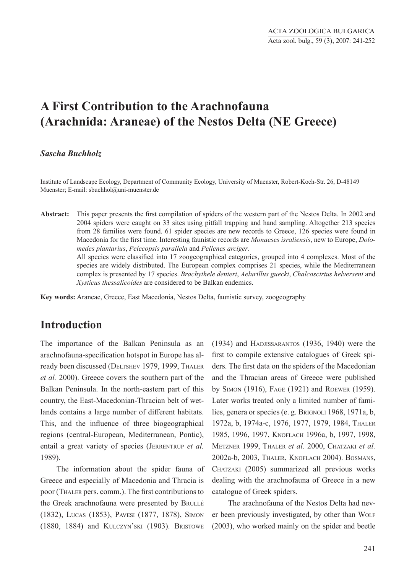# **A First Contribution to the Arachnofauna (Arachnida: Araneae) of the Nestos Delta (NE Greece)**

#### *Sascha Buchholz*

Institute of Landscape Ecology, Department of Community Ecology, University of Muenster, Robert-Koch-Str. 26, D-48149 Muenster; E-mail: sbuchhol@uni-muenster.de

**Abstract:** This paper presents the first compilation of spiders of the western part of the Nestos Delta. In 2002 and 2004 spiders were caught on 33 sites using pitfall trapping and hand sampling. Altogether 213 species from 28 families were found. 61 spider species are new records to Greece, 126 species were found in Macedonia for the first time. Interesting faunistic records are *Monaeses israliensis*, new to Europe, *Dolomedes plantarius*, *Pelecopsis parallela* and *Pellenes arciger*.

> All species were classified into 17 zoogeographical categories, grouped into 4 complexes. Most of the species are widely distributed. The European complex comprises 21 species, while the Mediterranean complex is presented by 17 species. *Brachythele denieri*, *Aelurillus guecki*, *Chalcoscirtus helverseni* and *Xysticus thessalicoides* are considered to be Balkan endemics.

**Key words:** Araneae, Greece, East Macedonia, Nestos Delta, faunistic survey, zoogeography

# **Introduction**

The importance of the Balkan Peninsula as an arachnofauna-specification hotspot in Europe has already been discussed (DELTSHEV 1979, 1999, THALER *et al.* 2000). Greece covers the southern part of the Balkan Peninsula. In the north-eastern part of this country, the East-Macedonian-Thracian belt of wetlands contains a large number of different habitats. This, and the influence of three biogeographical regions (central-European, Mediterranean, Pontic), entail a great variety of species (Jerrentrup *et al.* 1989).

The information about the spider fauna of Greece and especially of Macedonia and Thracia is poor (Thaler pers. comm.). The first contributions to the Greek arachnofauna were presented by BRULLÉ (1832), Lucas (1853), Pavesi (1877, 1878), Simon (1880, 1884) and Kulczyn'ski (1903). Bristowe

(1934) and Hadjissarantos (1936, 1940) were the first to compile extensive catalogues of Greek spiders. The first data on the spiders of the Macedonian and the Thracian areas of Greece were published by Simon (1916), Fage (1921) and Roewer (1959). Later works treated only a limited number of families, genera or species (e. g. BRIGNOLI 1968, 1971a, b, 1972a, b, 1974a-c, 1976, 1977, 1979, 1984, Thaler 1985, 1996, 1997, Knoflach 1996a, b, 1997, 1998, Metzner 1999, Thaler *et al*. 2000, Chatzaki *et al.*  2002a-b, 2003, Thaler, Knoflach 2004). Bosmans, CHATZAKI (2005) summarized all previous works dealing with the arachnofauna of Greece in a new catalogue of Greek spiders.

The arachnofauna of the Nestos Delta had never been previously investigated, by other than WOLF (2003), who worked mainly on the spider and beetle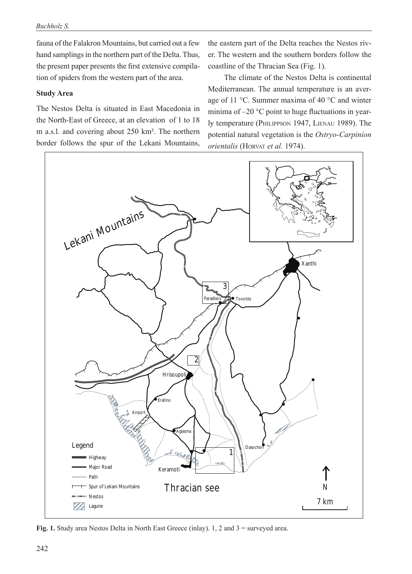fauna of the Falakron Mountains, but carried out a few hand samplings in the northern part of the Delta. Thus, the present paper presents the first extensive compilation of spiders from the western part of the area.

#### **Study Area**

The Nestos Delta is situated in East Macedonia in the North-East of Greece, at an elevation of 1 to 18 m a.s.l. and covering about 250 km². The northern border follows the spur of the Lekani Mountains, the eastern part of the Delta reaches the Nestos river. The western and the southern borders follow the coastline of the Thracian Sea (Fig. 1).

The climate of the Nestos Delta is continental Mediterranean. The annual temperature is an average of 11 °C. Summer maxima of 40 °C and winter minima of –20 °C point to huge fluctuations in yearly temperature (Philippson 1947, Lienau 1989). The potential natural vegetation is the *Ostryo-Carpinion orientalis* (HORVAT *et al.* 1974).



**Fig. 1.** Study area Nestos Delta in North East Greece (inlay). 1, 2 and 3 = surveyed area.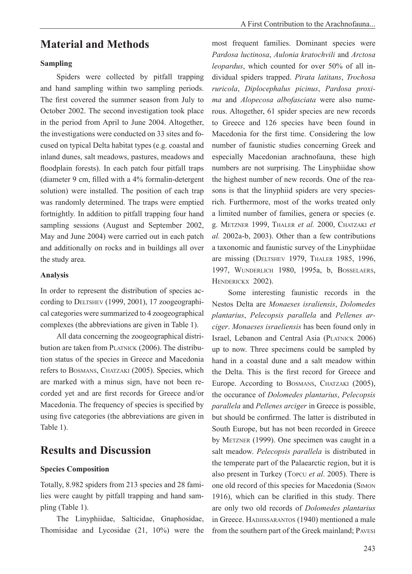## **Sampling**

Spiders were collected by pitfall trapping and hand sampling within two sampling periods. The first covered the summer season from July to October 2002. The second investigation took place in the period from April to June 2004. Altogether, the investigations were conducted on 33 sites and focused on typical Delta habitat types (e.g. coastal and inland dunes, salt meadows, pastures, meadows and floodplain forests). In each patch four pitfall traps (diameter 9 cm, filled with a 4% formalin-detergent solution) were installed. The position of each trap was randomly determined. The traps were emptied fortnightly. In addition to pitfall trapping four hand sampling sessions (August and September 2002, May and June 2004) were carried out in each patch and additionally on rocks and in buildings all over the study area.

### **Analysis**

In order to represent the distribution of species according to DELTSHEV (1999, 2001), 17 zoogeographical categories were summarized to 4 zoogeographical complexes (the abbreviations are given in Table 1).

All data concerning the zoogeographical distribution are taken from PLATNICK (2006). The distribution status of the species in Greece and Macedonia refers to Bosmans, Chatzaki (2005). Species, which are marked with a minus sign, have not been recorded yet and are first records for Greece and/or Macedonia. The frequency of species is specified by using five categories (the abbreviations are given in Table 1).

# **Results and Discussion**

## **Species Composition**

Totally, 8.982 spiders from 213 species and 28 families were caught by pitfall trapping and hand sampling (Table 1).

The Linyphiidae, Salticidae, Gnaphosidae, Thomisidae and Lycosidae (21, 10%) were the most frequent families. Dominant species were *Pardosa luctinosa*, *Aulonia kratochvili* and *Arctosa leopardus*, which counted for over 50% of all individual spiders trapped. *Pirata latitans*, *Trochosa ruricola*, *Diplocephalus picinus*, *Pardosa proxima* and *Alopecosa albofasciata* were also numerous. Altogether, 61 spider species are new records to Greece and 126 species have been found in Macedonia for the first time. Considering the low number of faunistic studies concerning Greek and especially Macedonian arachnofauna, these high numbers are not surprising. The Linyphiidae show the highest number of new records. One of the reasons is that the linyphiid spiders are very speciesrich. Furthermore, most of the works treated only a limited number of families, genera or species (e. g. Metzner 1999, Thaler *et al.* 2000, Chatzaki *et al.* 2002a-b, 2003). Other than a few contributions a taxonomic and faunistic survey of the Linyphiidae are missing (Deltshev 1979, Thaler 1985, 1996, 1997, Wunderlich 1980, 1995a, b, Bosselaers, Henderickx 2002).

Some interesting faunistic records in the Nestos Delta are *Monaeses israliensis*, *Dolomedes plantarius*, *Pelecopsis parallela* and *Pellenes arciger*. *Monaeses israeliensis* has been found only in Israel, Lebanon and Central Asia (Platnick 2006) up to now. Three specimens could be sampled by hand in a coastal dune and a salt meadow within the Delta. This is the first record for Greece and Europe. According to BOSMANS, CHATZAKI (2005), the occurance of *Dolomedes plantarius*, *Pelecopsis parallela* and *Pellenes arciger* in Greece is possible, but should be confirmed. The latter is distributed in South Europe, but has not been recorded in Greece by METZNER (1999). One specimen was caught in a salt meadow. *Pelecopsis parallela* is distributed in the temperate part of the Palaearctic region, but it is also present in Turkey (Topcu *et al*. 2005). There is one old record of this species for Macedonia (Simon 1916), which can be clarified in this study. There are only two old records of *Dolomedes plantarius* in Greece. HADJISSARANTOS (1940) mentioned a male from the southern part of the Greek mainland; Pavesi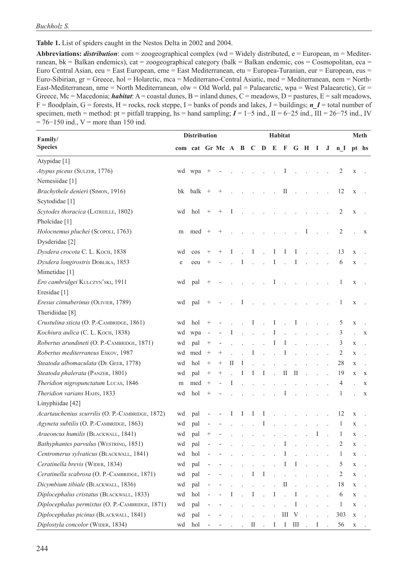**Table 1.** List of spiders caught in the Nestos Delta in 2002 and 2004.

**Abbreviations:** *distribution*: com = zoogeographical complex (wd = Widely distributed, e = European, m = Mediterranean,  $bk = Balkan$  endemics), cat = zoogeographical category (balk = Balkan endemic, cos = Cosmopolitan, eca = Euro Central Asian, eeu = East European, eme = East Mediterranean, etu = Europea-Turanian, eur = European, eus = Euro-Sibirian, gr = Greece, hol = Holarctic, mca = Mediterrano-Central Asiatic, med = Mediterranean, nem = North-East-Mediterranean, nme = North Mediterranean, olw = Old World, pal = Palaearctic, wpa = West Palaearctic), Gr = Greece, Mc = Macedonia; *habitat*: A = coastal dunes, B = inland dunes, C = meadows, D = pastures, E = salt meadows,  $F =$  floodplain,  $G =$  forests,  $H =$  rocks, rock steppe,  $I =$  banks of ponds and lakes,  $J =$  buildings; *n*  $I =$  total number of specimen, meth = method: pt = pitfall trapping, hs = hand sampling; *I* = 1−5 ind., II = 6−25 ind., III = 26−75 ind., IV  $= 76-150$  ind., V = more than 150 ind.

| Family/                                          | <b>Distribution</b> | Habitat                       |                                    |        |   |                      |                      |                      |                      |                      |                |                             | Meth                 |         |                |             |             |
|--------------------------------------------------|---------------------|-------------------------------|------------------------------------|--------|---|----------------------|----------------------|----------------------|----------------------|----------------------|----------------|-----------------------------|----------------------|---------|----------------|-------------|-------------|
| <b>Species</b>                                   |                     | com cat Gr Mc A B C D E F G H |                                    |        |   |                      |                      |                      |                      |                      |                |                             | $\bf{I}$             | $\bf J$ | n <sub>l</sub> |             | pt hs       |
| Atypidae <sup>[1]</sup>                          |                     |                               |                                    |        |   |                      |                      |                      |                      |                      |                |                             |                      |         |                |             |             |
| Atypus piceus (SULZER, 1776)                     |                     | wd wpa                        |                                    |        |   |                      |                      |                      |                      | Ι                    |                |                             |                      |         | 2              | $\mathbf X$ |             |
| Nemesiidae [1]                                   |                     |                               |                                    |        |   |                      |                      |                      |                      |                      |                |                             |                      |         |                |             |             |
| Brachythele denieri (SIMON, 1916)                | bk                  | balk                          | $^{+}$                             | $^{+}$ |   |                      |                      |                      |                      | П                    |                |                             |                      |         | 12             | $\mathbf X$ |             |
| Scytodidae <sup>[1]</sup>                        |                     |                               |                                    |        |   |                      |                      |                      |                      |                      |                |                             |                      |         |                |             |             |
| Scytodes thoracica (LATREILLE, 1802)             | wd                  | hol                           | $^{+}$                             | $^{+}$ | Ι |                      |                      |                      |                      |                      |                |                             |                      |         | 2              | $\mathbf X$ |             |
| Pholcidae <sup>[1]</sup>                         |                     |                               |                                    |        |   |                      |                      |                      |                      |                      |                |                             |                      |         |                |             |             |
| Holocnemus pluchei (ScopoLI, 1763)               | m                   | med                           | $^{+}$                             |        |   |                      |                      |                      |                      |                      |                | Ι                           |                      |         | 2              |             | X           |
| Dysderidae [2]                                   |                     |                               |                                    |        |   |                      |                      |                      |                      |                      |                |                             |                      |         |                |             |             |
| Dysdera crocota C. L. Koch, 1838                 | wd                  | cos                           |                                    | $^+$   | I |                      | I                    |                      | I                    | I                    | I              |                             |                      |         | 13             | $\mathbf X$ |             |
| Dysdera longirostris DOBLIKA, 1853               | e                   | eeu                           |                                    |        |   | I                    | $\ddot{\phantom{a}}$ | $\sim$ $\sim$        | $\bf{l}$             |                      | Ι              | $\ddot{\phantom{a}}$        |                      |         | 6              | $\mathbf X$ |             |
| Mimetidae [1]                                    |                     |                               |                                    |        |   |                      |                      |                      |                      |                      |                |                             |                      |         |                |             |             |
| Ero cambridgei KULCZYN'SKI, 1911                 | wd                  | pal                           |                                    |        |   |                      |                      |                      | Τ                    |                      |                |                             |                      |         | 1              | $\mathbf X$ |             |
| Eresidae <sup>[1]</sup>                          |                     |                               |                                    |        |   |                      |                      |                      |                      |                      |                |                             |                      |         |                |             |             |
| Eresus cinnaberinus (OLIVIER, 1789)              | wd                  | pal                           |                                    |        |   | I                    |                      |                      |                      |                      |                |                             |                      |         | 1              | X           |             |
| Theridiidae <sup>[8]</sup>                       |                     |                               |                                    |        |   |                      |                      |                      |                      |                      |                |                             |                      |         |                |             |             |
| Crustulina sticta (O. P.-CAMBRIDGE, 1861)        | wd                  | hol                           | $^{+}$                             |        |   |                      | $\mathbf I$          | $\mathbb{R}^2$       | $\bf{I}$             |                      | $\mathbf{I}$   | $\mathbf{r}$                | $\sim$               |         | 5              | $\mathbf X$ |             |
| Kochiura aulica (С. L. Косн, 1838)               | wd                  | wpa                           |                                    |        | Ι | $\ddot{\phantom{a}}$ | $\overline{a}$       | $\mathbb{R}^2$       | I                    | $\overline{a}$       | $\overline{a}$ | $\mathcal{L}^{\mathcal{L}}$ | $\ddot{\phantom{a}}$ |         | 3              |             | X           |
| Robertus arundineti (O. P.-CAMBRIDGE, 1871)      | wd                  | pal                           | $\begin{array}{c} + \ \end{array}$ |        |   |                      | $\ddot{\phantom{a}}$ | $\ddot{\phantom{a}}$ | Ι                    | I                    |                |                             |                      |         | 3              | X           |             |
| Robertus mediterraneus Eskov, 1987               | wd                  | med                           |                                    | $^{+}$ |   |                      | Ι                    | $\sim$               |                      | I                    |                |                             |                      |         | 2              | X           |             |
| Steatoda albomaculata (DE GEER, 1778)            | wd                  | hol                           | $^{+}$                             | $^{+}$ | П | I                    |                      |                      |                      |                      |                |                             |                      |         | 28             | X           |             |
| Steatoda phalerata (PANZER, 1801)                | wd                  | pal                           | $^{+}$                             |        |   | Ι                    | Ι                    | $\rm I$              |                      | П                    | Ш              |                             |                      |         | 19             | $\mathbf X$ | $\mathbf X$ |
| Theridion nigropunctatum LUCAS, 1846             | m                   | med                           | $^{+}$                             |        | Ι |                      |                      |                      | $\ddot{\phantom{a}}$ | $\ddot{\phantom{a}}$ | $\mathcal{L}$  |                             |                      |         | 4              |             | X           |
| Theridion varians HAHN, 1833                     | wd                  | hol                           | $^{+}$                             |        |   |                      |                      |                      |                      | I                    |                |                             |                      |         | 1              |             | X           |
| Linyphiidae [42]                                 |                     |                               |                                    |        |   |                      |                      |                      |                      |                      |                |                             |                      |         |                |             |             |
| Acartauchenius scurrilis (O. P.-CAMBRIDGE, 1872) | wd                  | pal                           |                                    |        | 1 | 1                    | Ι                    | I                    |                      |                      |                |                             |                      |         | 12             | X           |             |
| Agyneta subtilis (O. P.-CAMBRIDGE, 1863)         | wd                  | pal                           |                                    |        |   |                      |                      | Ι                    |                      |                      |                |                             |                      |         | 1              | X           |             |
| Araeoncus humilis (BLACKWALL, 1841)              | wd                  | pal                           | $^{+}$                             |        |   |                      |                      |                      |                      |                      |                |                             | I                    |         | 1              | X           |             |
| Bathyphantes parvulus (WESTRING, 1851)           | wd                  | pal                           |                                    |        |   |                      | ÷.                   | $\mathbf{r}$         |                      | Ι                    |                | J.                          |                      |         | 2              | X           |             |
| Centromerus sylvaticus (BLACKWALL, 1841)         | wd                  | hol                           |                                    |        |   |                      |                      |                      |                      | I                    |                |                             |                      |         | $\mathbf{1}$   | X           |             |
| Ceratinella brevis (WIDER, 1834)                 | wd                  | pal                           |                                    |        |   |                      |                      |                      |                      | 1                    | 1              |                             |                      |         | 5              | $\mathbf X$ |             |
| Ceratinella scabrosa (O. P.-CAMBRIDGE, 1871)     | wd                  | pal                           |                                    |        |   |                      | Ι                    | I                    |                      |                      |                |                             |                      |         | 2              | X           |             |
| Dicymbium tibiale (BLACKWALL, 1836)              | wd                  | pal                           |                                    |        |   |                      |                      |                      |                      | $\rm II$             |                |                             |                      |         | 18             | X           |             |
| Diplocephalus cristatus (BLACKWALL, 1833)        | wd                  | hol                           |                                    |        |   |                      | Ι                    |                      | Ι                    |                      | I              |                             |                      |         | 6              | X           |             |
| Diplocephalus permixtus (O. P.-CAMBRIDGE, 1871)  | wd                  | pal                           |                                    |        |   |                      |                      |                      |                      |                      | I              |                             |                      |         | $\mathbf{1}$   | X           |             |
| Diplocephalus picinus (BLACKWALL, 1841)          | wd                  | pal                           |                                    |        |   |                      |                      |                      |                      | Ш                    | V              |                             |                      |         | 303            | $\mathbf X$ |             |
| Diplostyla concolor (WIDER, 1834)                | wd                  | hol                           |                                    |        |   |                      | П                    |                      | 1                    | $\mathbf{I}$         | Ш              |                             | Ι                    |         | 56             | X           |             |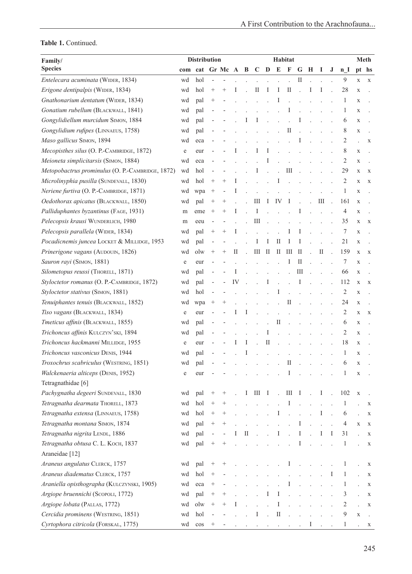| Family/                                          | <b>Distribution</b> |                   | Habitat                  |        |    |          |                                   |              |                      |                             |                      |                | <b>Meth</b>          |        |                |                      |             |
|--------------------------------------------------|---------------------|-------------------|--------------------------|--------|----|----------|-----------------------------------|--------------|----------------------|-----------------------------|----------------------|----------------|----------------------|--------|----------------|----------------------|-------------|
| <b>Species</b>                                   |                     | com cat Gr Mc A B |                          |        |    |          |                                   |              |                      | $C$ $D$ $E$ $F$             |                      | G H            | 1                    | J      | n <sub>1</sub> |                      | pt hs       |
| Entelecara acuminata (WIDER, 1834)               | wd                  | hol               | $\overline{\phantom{a}}$ |        |    |          |                                   |              |                      |                             | $\rm II$             |                |                      |        | $\overline{9}$ | $\mathbf X$          | X           |
| Erigone dentipalpis (WIDER, 1834)                | wd                  | hol               | $^{+}$                   |        |    |          | П                                 | 1            | Ι                    | $\mathop{\rm II}\nolimits$  |                      | Ι              | Ι                    |        | 28             | $\mathbf X$          |             |
| Gnathonarium dentatum (WIDER, 1834)              | wd                  | pal               | $^{+}$                   |        |    |          |                                   |              | I                    |                             |                      |                |                      |        | 1              | X                    |             |
| Gonatium rubellum (BLACKWALL, 1841)              | wd                  | pal               |                          |        |    |          |                                   |              |                      | I                           |                      |                |                      |        | 1              | X                    |             |
| Gongylidiellum murcidum SIMON, 1884              | wd                  | pal               |                          |        |    |          | Ι                                 |              |                      | $\overline{a}$              | 1                    |                |                      |        | 6              | X                    |             |
| Gongylidium rufipes (LINNAEUS, 1758)             | wd                  | pal               |                          |        |    |          |                                   |              |                      | П                           |                      |                |                      |        | 8              | X                    |             |
| Maso gallicus SIMON, 1894                        | wd                  | eca               |                          |        |    |          |                                   |              |                      |                             |                      |                |                      |        | 2              |                      | X           |
| Mecopisthes silus (O. P.-CAMBRIDGE, 1872)        | e                   | eur               |                          |        |    |          | 1                                 | Ι            |                      |                             |                      |                |                      |        | 8              | X                    |             |
| Meioneta simplicitarsis (SIMON, 1884)            | wd                  | eca               |                          |        |    |          |                                   | Ι            |                      |                             |                      |                |                      |        | 2              | X                    |             |
| Metopobactrus prominulus (O. P.-CAMBRIDGE, 1872) | wd                  | hol               |                          |        |    |          | I                                 |              |                      | $\mathop{\rm III}\nolimits$ |                      |                |                      |        | 29             | $\mathbf X$          | X           |
| Microlinyphia pusilla (SUNDEVALL, 1830)          | wd                  | hol               | $^{+}$                   | $^{+}$ |    |          |                                   |              |                      |                             |                      |                |                      |        | 2              | $\mathbf X$          | X           |
| Neriene furtiva (O. P.-CAMBRIDGE, 1871)          | wd                  | wpa               |                          |        | Ι  |          |                                   |              |                      |                             |                      |                |                      |        | 1              | X                    |             |
| Oedothorax apicatus (BLACKWALL, 1850)            | wd                  | pal               | $^{+}$                   | $^{+}$ |    |          | Ш                                 | 1            | IV                   |                             |                      |                | Ш                    |        | 161            | X                    |             |
| Palliduphantes byzantinus (FAGE, 1931)           | m                   | eme               | $^{+}$                   | $^+$   | 1  |          | Ι                                 |              |                      |                             | $\mathbf{I}$         |                |                      |        | 4              | $\mathbf X$          |             |
| Pelecopsis krausi WUNDERLICH, 1980               | m                   | eeu               |                          |        |    |          | $\mathop{\rm III}\nolimits$       |              |                      |                             |                      |                |                      |        | 35             | X                    | X           |
| Pelecopsis parallela (WIDER, 1834)               | wd                  | pal               | $^{+}$                   |        | Ι  |          |                                   |              |                      | ı                           | 1                    |                |                      |        | 7              | X                    |             |
| Pocadicnemis juncea LOCKET & MILLIDGE, 1953      | wd                  | pal               |                          |        |    |          | I                                 | 1            | $\rm II$             | 1                           | 1                    |                |                      |        | 21             | X                    |             |
| Prinerigone vagans (AUDOUIN, 1826)               | wd                  | olw               | $^{+}$                   | $^{+}$ | П  |          | Ш                                 | $\mathbf{I}$ | Ш                    | Ш                           | П                    |                | П                    |        | 159            | X                    | X           |
| Sauron rayi (SIMON, 1881)                        | e                   | eur               |                          |        |    |          |                                   |              |                      | Ι                           | П                    |                |                      |        | 7              | X                    |             |
| Silometopus reussi (THORELL, 1871)               | wd                  | pal               |                          |        | I  |          |                                   |              | $\ddot{\phantom{a}}$ | $\overline{a}$              | Ш                    |                |                      |        | 66             | X                    |             |
| Styloctetor romanus (O. P.-CAMBRIDGE, 1872)      | wd                  | pal               |                          |        | IV |          |                                   | I            |                      |                             | Ι                    |                |                      |        | 112            | X                    | X           |
| Styloctetor stativus (SIMON, 1881)               | wd                  | hol               |                          |        |    |          |                                   |              | Ι                    |                             |                      |                |                      |        | 2              | X                    |             |
| Tenuiphantes tenuis (BLACKWALL, 1852)            | wd                  | wpa               | $^{+}$                   |        |    |          |                                   |              |                      | П                           |                      |                |                      |        | 24             | X                    |             |
| Tiso vagans (BLACKWALL, 1834)                    | e                   | eur               |                          |        |    |          |                                   |              |                      |                             |                      |                |                      |        | 2              | $\mathbf X$          | X           |
| Tmeticus affinis (BLACKWALL, 1855)               | wd                  | pal               |                          |        |    |          |                                   |              | $\rm II$             |                             |                      |                |                      |        | 6              | X                    |             |
| Trichoncus affinis KULCZYN'SKI, 1894             | wd                  | pal               |                          |        |    |          |                                   | I            |                      |                             |                      |                |                      |        | 2              | X                    |             |
| Trichoncus hackmanni MILLIDGE, 1955              | e                   | eur               |                          |        |    | I        |                                   | П            |                      |                             |                      |                |                      |        | 18             | X                    |             |
| Trichoncus vasconicus DENIS, 1944                | wd                  | pal               |                          |        |    | T        |                                   |              |                      |                             |                      |                |                      |        | 1              | X                    |             |
| Troxochrus scabriculus (WESTRING, 1851)          | wd                  | pal               |                          |        |    |          |                                   |              |                      | П                           |                      |                |                      |        | 6              | X                    |             |
| Walckenaeria alticeps (DENIS, 1952)              | e                   | eur               |                          |        |    |          |                                   |              |                      |                             |                      |                |                      |        | 1              | X                    |             |
| Tetragnathidae [6]                               |                     |                   |                          |        |    |          |                                   |              |                      |                             |                      |                |                      |        |                |                      |             |
| Pachygnatha degeeri SUNDEVALL, 1830              | wd                  | pal               | $^{+}$                   |        |    | $\perp$  | $III$ I                           |              | $\sim 10$            | $III$ I                     |                      | $\sim 10^{-1}$ | $\bf{I}$             | $\sim$ | 102            | $\mathbf X$          |             |
| Tetragnatha dearmata THORELL, 1873               | wd                  | hol               | $^{+}$                   |        |    |          |                                   |              |                      | I                           |                      |                | $\ddot{\phantom{a}}$ |        | 1              |                      | X           |
| Tetragnatha extensa (LINNAEUS, 1758)             | wd                  | hol               |                          |        |    |          |                                   |              | Ι                    |                             | $\ddot{\phantom{a}}$ | $\overline{a}$ | Ι                    |        | 6              | $\overline{a}$       | X           |
| Tetragnatha montana SIMON, 1874                  | wd                  | pal               | $^{+}$                   |        |    |          |                                   |              | $\mathcal{L}$        |                             | Ι                    |                |                      |        | 4              | $\mathbf X$          | X           |
| Tetragnatha nigrita LENDL, 1886                  | wd                  | pal               | $\overline{\phantom{a}}$ |        | Ι  | $\rm II$ |                                   |              | Ι                    |                             | Ι                    |                | Ι                    | I      | 31             | $\ddot{\phantom{0}}$ | X           |
| Tetragnatha obtusa C. L. KOCH, 1837              | wd                  | pal               | $^{+}$                   |        |    |          |                                   |              |                      |                             | I                    |                |                      |        | 1              |                      | X           |
| Araneidae [12]                                   |                     |                   |                          |        |    |          |                                   |              |                      |                             |                      |                |                      |        |                |                      |             |
| Araneus angulatus CLERCK, 1757                   | wd                  | pal               | $^{+}$                   |        |    |          |                                   |              |                      | 1                           |                      |                |                      |        | 1              |                      | X           |
| Araneus diadematus CLERCK, 1757                  | wd                  | hol               | $^{+}$                   |        |    |          |                                   |              |                      |                             |                      |                |                      | Ι      | 1              |                      | X           |
| Araniella opisthographa (KULCZYNSKI, 1905)       | wd                  | eca               | $\! + \!\!\!\!$          |        |    |          |                                   |              |                      | I                           |                      |                | $\bar{z}$            |        | 1              |                      | X           |
| Argiope bruennichi (Scopoll, 1772)               | wd                  | pal               | $^{+}$                   |        |    |          |                                   | Ι            | Ι                    |                             |                      |                |                      |        | 3              | $\ddot{\phantom{0}}$ | $\mathbf X$ |
| Argiope lobata (PALLAS, 1772)                    | wd                  | olw               | $^{+}$                   |        |    |          |                                   |              |                      |                             |                      |                |                      |        | 2              |                      | X           |
| Cercidia prominens (WESTRING, 1851)              | wd                  | hol               |                          |        |    |          | I                                 |              | $\rm II$             |                             |                      |                |                      |        | 9              | X                    |             |
| Cyrtophora citricola (FORSKAL, 1775)             | wd                  | $\cos$            | $^{+}$                   |        |    |          | $\sim 10^{-1}$ and $\sim 10^{-1}$ |              | $\sim$               |                             |                      | Ι              |                      |        | 1              |                      | X           |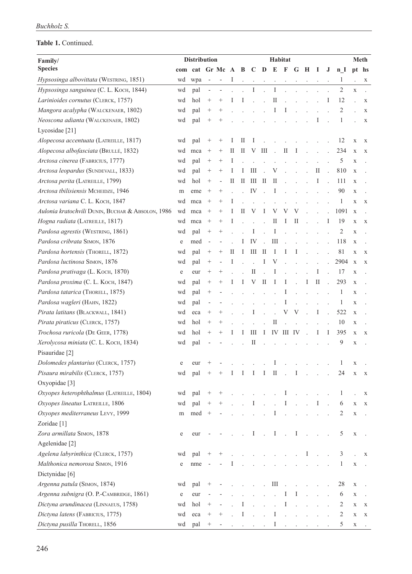| Family/                                           | <b>Distribution</b> |                   |                          |                          |   | Habitat<br><b>Meth</b> |                      |                                            |                            |           |                        |               |                           |                      |                |                |               |
|---------------------------------------------------|---------------------|-------------------|--------------------------|--------------------------|---|------------------------|----------------------|--------------------------------------------|----------------------------|-----------|------------------------|---------------|---------------------------|----------------------|----------------|----------------|---------------|
| <b>Species</b>                                    |                     | com cat Gr Mc A B |                          |                          |   |                        |                      | $C$ D E F G H                              |                            |           |                        |               | $\mathbf I$               | J                    | n I            |                | pt hs         |
| Hypsosinga albovittata (WESTRING, 1851)           | wd                  | wpa               | $\overline{\phantom{a}}$ | $\overline{\phantom{m}}$ | Ι | $\overline{a}$         |                      | $\bar{z}$                                  | $\ddot{\phantom{0}}$       | $\cdot$   | $\Delta$               | $\Box$        |                           |                      | 1              |                | $\mathbf X$   |
| Hypsosinga sanguinea (C. L. Koch, 1844)           | wd                  | pal               | $\blacksquare$           | $\frac{1}{2}$            |   | $\overline{a}$         | I                    | $\ddot{\phantom{a}}$                       | I                          |           |                        |               |                           |                      | $\overline{2}$ | $\mathbf X$    |               |
| Larinioides cornutus (CLERCK, 1757)               | wd                  | hol               |                          | $^{+}$                   |   | I                      |                      |                                            | $\rm II$                   |           |                        |               |                           | Ι                    | 12             |                | $\mathbf X$   |
| Mangora acalypha (WALCKENAER, 1802)               | wd                  | pal               | $^{+}$                   | $^+$                     |   |                        |                      |                                            | Ι                          | 1         |                        |               |                           |                      | 2              |                | $\mathbf X$   |
| Neoscona adianta (WALCKENAER, 1802)               | wd                  | pal               | $^{+}$                   |                          |   |                        |                      |                                            |                            |           |                        |               |                           |                      | 1              |                | X             |
| Lycosidae [21]                                    |                     |                   |                          |                          |   |                        |                      |                                            |                            |           |                        |               |                           |                      |                |                |               |
| Alopecosa accentuata (LATREILLE, 1817)            | wd                  | pal               | $^+$                     | $^+$                     |   | П                      | I                    |                                            |                            |           |                        |               |                           |                      | 12             | $\mathbf X$    | X             |
| Alopecosa albofasciata (BRULLÉ, 1832)             | wd                  | mca               | $^{+}$                   | $^{+}$                   | П | П                      | V                    | $\rm III$                                  | ÷.                         | П         | T                      |               |                           |                      | 234            | $\mathbf X$    | X             |
| Arctosa cinerea (FABRICIUS, 1777)                 | wd                  | pal               | $^{+}$                   | $^{+}$                   | Ι |                        |                      |                                            |                            |           |                        |               |                           |                      | 5              | X              |               |
| Arctosa leopardus (SUNDEVALL, 1833)               | wd                  | pal               | $^{+}$                   | $^{+}$                   | 1 | 1                      | III                  |                                            | V                          |           |                        |               | П                         | $\ddot{\phantom{a}}$ | 810            | $\mathbf X$    |               |
| Arctosa perita (LATREILLE, 1799)                  | wd                  | hol               |                          | $\overline{a}$           | П | $\rm{II}$              | Ш                    | $\mathbf{I}$                               | $\mathop{\rm II}\nolimits$ |           |                        |               | Ι                         |                      | 111            | $\mathbf X$    |               |
| Arctosa tbilisiensis MCHEIDZE, 1946               | m                   | eme               | $^{+}$                   | $^{+}$                   |   |                        | IV                   | $\mathbf{r}$                               | I                          |           |                        |               |                           |                      | 90             | $\mathbf X$    |               |
| Arctosa variana C. L. KOCH, 1847                  | wd                  | mca               | $^{+}$                   | $^{+}$                   | I |                        |                      |                                            |                            |           |                        |               |                           |                      | 1              | $\mathbf X$    | X             |
| Aulonia kratochvili DUNIN, BUCHAR & ABSOLON, 1986 | wd                  | mca               | $^{+}$                   | $^{+}$                   |   | П                      | V                    | 1                                          | V                          | V         | V                      |               |                           |                      | 1091           | X              |               |
| Hogna radiata (LATREILLE, 1817)                   | wd                  | mca               | $^{+}$                   | $^{+}$                   | Ι |                        |                      |                                            | П                          | 1         | $\mathbf{I}$           |               |                           | Ι                    | 19             | $\mathbf X$    | $\mathbf X$   |
| Pardosa agrestis (WESTRING, 1861)                 | wd                  | pal               | $^{+}$                   | $^{+}$                   |   |                        | I                    | $\overline{a}$                             | I                          |           |                        |               |                           |                      | 2              | X              |               |
| Pardosa cribrata SIMON, 1876                      | e                   | med               |                          |                          |   | I                      | IV                   | $\sim$                                     | Ш                          |           |                        |               |                           |                      | 118            | $\mathbf X$    |               |
| Pardosa hortensis (THORELL, 1872)                 | wd                  | pal               | $^{+}$                   | $^{+}$                   | П | Ι                      |                      | $III$ II                                   | Ι                          | 1         | 1                      |               |                           |                      | 81             | $\mathbf X$    | X             |
| Pardosa luctinosa SIMON, 1876                     | wd                  | pal               | $^{+}$                   | $\overline{a}$           | I |                        |                      | I                                          | V                          |           |                        |               |                           |                      | 2904           | $\mathbf X$    | X             |
| Pardosa prativaga (L. KOCH, 1870)                 | e                   | eur               | $^{+}$                   | $^{+}$                   |   |                        | $_{\rm II}$          |                                            | 1                          |           |                        |               |                           |                      | 17             | X              |               |
| Pardosa proxima (C. L. KOCH, 1847)                | wd                  | pal               | $^+$                     | $^+$                     |   | Ι                      | V                    | $\mathop{\mathrm{II}}\nolimits$            | I                          | 1         |                        | I             | $\rm II$                  |                      | 293            | $\mathbf X$    |               |
| Pardosa tatarica (THORELL, 1875)                  | wd                  | pal               | $^{+}$                   |                          |   |                        |                      |                                            |                            |           |                        |               |                           |                      | 1              | X              |               |
| Pardosa wagleri (HAHN, 1822)                      | wd                  | pal               | $\overline{\phantom{m}}$ |                          |   |                        |                      |                                            |                            | I         |                        |               |                           |                      | 1              | X              |               |
| Pirata latitans (BLACKWALL, 1841)                 | wd                  | eca               | $^{+}$                   | $^+$                     |   |                        |                      |                                            |                            | V         | V                      |               | Ι                         |                      | 522            | $\mathbf X$    |               |
| Pirata piraticus (CLERCK, 1757)                   | wd                  | hol               | $^{+}$                   | $\hspace{0.1mm} +$       |   |                        |                      |                                            | П                          |           |                        |               |                           |                      | 10             | X              |               |
| Trochosa ruricola (DE GEER, 1778)                 | wd                  | hol               | $^{+}$                   | $^{+}$                   |   | I                      | Ш                    | $\mathbf I$                                |                            | IV III IV |                        |               | Ι                         | Ι                    | 395            | $\mathbf X$    | X             |
| Xerolycosa miniata (C. L. KOCH, 1834)             | wd                  | pal               |                          |                          |   |                        | П                    |                                            |                            |           |                        |               |                           |                      | 9              | X              |               |
| Pisauridae [2]                                    |                     |                   |                          |                          |   |                        |                      |                                            |                            |           |                        |               |                           |                      |                |                |               |
| Dolomedes plantarius (CLERCK, 1757)               | $\rm e$             | eur               |                          |                          |   |                        |                      |                                            |                            |           |                        |               |                           |                      |                | X              |               |
| Pisaura mirabilis (CLERCK, 1757)                  | wd                  | pal               |                          |                          |   |                        |                      | $\perp$                                    | $\mathbf{H}$               |           |                        |               |                           |                      | 24             |                | $\mathbf{X}$  |
| Oxyopidae <sup>[3]</sup>                          |                     |                   |                          |                          |   |                        | $\mathbf{I}$         |                                            |                            |           | $\mathbf{I}$           |               |                           |                      |                |                |               |
| Oxyopes heterophthalmus (LATREILLE, 1804)         | wd                  | pal               |                          |                          |   |                        |                      | $\overline{a}$                             |                            | I         | $\mathcal{L}^{(1)}$ .  |               | $\mathbf{L} = \mathbf{L}$ | $\ddot{\phantom{a}}$ | 1              |                | X             |
| Oxyopes lineatus LATREILLE, 1806                  | wd                  | pal               |                          |                          |   |                        | I                    | $\mathbb{R}^2$                             |                            | $\bf{I}$  | $\mathcal{L}$          |               | I                         |                      | 6              | $\mathbf X$    | X             |
| Oxyopes mediterraneus LEVY, 1999                  | m                   | $med +$           |                          |                          |   |                        | $\ddot{\phantom{a}}$ | $\bar{\mathcal{A}}$                        | I                          |           | $\Delta \phi = 1.00$ . |               | $\mathbf{L} = \mathbf{L}$ |                      | 2              | X              |               |
| Zoridae <sup>[1]</sup>                            |                     |                   |                          |                          |   |                        |                      |                                            |                            |           |                        |               |                           |                      |                |                | $\mathcal{L}$ |
| Zora armillata SIMON, 1878                        | e                   | eur               |                          |                          |   |                        |                      | $\mathbf{I}$ . $\mathbf{I}$ . $\mathbf{I}$ |                            |           |                        | $\Delta$      | $\sim$ $\sim$             |                      | 5              | $\mathbf X$    |               |
| Agelenidae [2]                                    |                     |                   |                          |                          |   |                        |                      |                                            |                            |           |                        |               |                           |                      |                |                |               |
| Agelena labyrinthica (CLERCK, 1757)               | wd                  | pal               |                          |                          |   |                        |                      |                                            |                            |           |                        | $\perp$       |                           |                      | 3              | $\overline{a}$ |               |
| Malthonica nemorosa SIMON, 1916                   |                     |                   |                          |                          |   |                        |                      |                                            |                            |           |                        |               | $\mathbf{L} = \mathbf{L}$ |                      |                |                | X             |
| Dictynidae [6]                                    | e                   | nme               |                          |                          |   |                        |                      |                                            |                            |           |                        |               |                           |                      | 1              | X              |               |
|                                                   |                     |                   |                          |                          |   |                        |                      |                                            |                            |           |                        |               |                           |                      |                |                |               |
| Argenna patula (SIMON, 1874)                      | wd                  | pal               |                          |                          |   |                        |                      |                                            | Ш                          |           |                        |               |                           |                      | 28             | X              |               |
| Argenna subnigra (O. P.-CAMBRIDGE, 1861)          | ${\rm e}$           | eur               |                          |                          |   |                        |                      |                                            |                            | 1         | Ι                      |               | $\sim$                    |                      | 6              | X              |               |
| Dictyna arundinacea (LINNAEUS, 1758)              | wd                  | hol               | $^+$                     |                          |   | I                      |                      | $\overline{a}$                             | $\mathbf{r}$               | Ι         |                        |               |                           |                      | 2              | X              | X             |
| Dictyna latens (FABRICIUS, 1775)                  | wd                  | eca               |                          | $^+$                     |   |                        |                      |                                            | Ι                          |           |                        |               |                           |                      | 2              | X              | X             |
| Dictyna pusilla THORELL, 1856                     | wd                  | pal               |                          |                          |   | $\cdot$                | $\cdot$              | $\Box$                                     | $\perp$                    | $\Box$    | $\sim$                 | $\sim$ $\sim$ | $\cdot$                   |                      | 5              | X              | $\sim$        |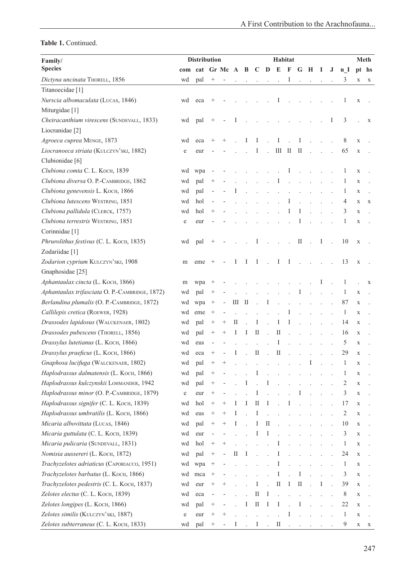| Family/                                        | <b>Distribution</b> |                   |                          |                          |                                 |              | Habitat                   |                |                  |                      |                            |                                                                                                 |             |         |              |             |             |
|------------------------------------------------|---------------------|-------------------|--------------------------|--------------------------|---------------------------------|--------------|---------------------------|----------------|------------------|----------------------|----------------------------|-------------------------------------------------------------------------------------------------|-------------|---------|--------------|-------------|-------------|
| <b>Species</b>                                 |                     | com cat Gr Mc A B |                          |                          |                                 |              |                           |                | $C$ $D$ $E$ $F$  |                      |                            | G H                                                                                             | $\mathbf I$ | $\bf J$ | n I          |             | pt hs       |
| Dictyna uncinata THORELL, 1856                 | wd                  | pal               | $^{+}$                   |                          |                                 |              |                           | $\cdot$        |                  | I                    |                            | $\mathcal{L}^{\text{max}}(\mathcal{L}^{\text{max}})$ .                                          |             |         | 3            | $\mathbf X$ | X           |
| Titanoecidae [1]                               |                     |                   |                          |                          |                                 |              |                           |                |                  |                      |                            |                                                                                                 |             |         |              |             |             |
| Nurscia albomaculata (LUCAS, 1846)             | wd                  | eca               | $^{+}$                   |                          |                                 |              |                           |                | Ι                |                      |                            |                                                                                                 |             |         | 1            | X           |             |
| Miturgidae [1]                                 |                     |                   |                          |                          |                                 |              |                           |                |                  |                      |                            |                                                                                                 |             |         |              |             |             |
| Cheiracanthium virescens (SUNDEVALL, 1833)     | wd                  | pal               |                          |                          |                                 |              |                           |                |                  |                      |                            |                                                                                                 |             | 1       | 3            |             | X           |
| Liocranidae <sup>[2]</sup>                     |                     |                   |                          |                          |                                 |              |                           |                |                  |                      |                            |                                                                                                 |             |         |              |             |             |
| Agroeca cuprea MENGE, 1873                     | wd                  | eca               | $^+$                     |                          |                                 | I            | I                         |                | I                |                      | I                          |                                                                                                 |             |         | 8            | $\mathbf X$ |             |
| Liocranoeca striata (KULCZYN'SKI, 1882)        | e                   | eur               |                          |                          |                                 |              | $\rm I$                   | $\mathcal{L}$  | $\,$ III $\,$ II |                      | $\rm{II}$                  |                                                                                                 |             |         | 65           | $\mathbf X$ |             |
| Clubionidae [6]                                |                     |                   |                          |                          |                                 |              |                           |                |                  |                      |                            |                                                                                                 |             |         |              |             |             |
| Clubiona comta C. L. KOCH, 1839                | wd                  | wpa               |                          |                          |                                 |              |                           |                |                  | I                    |                            |                                                                                                 |             |         | 1            | $\mathbf X$ |             |
| Clubiona diversa O. P.-CAMBRIDGE, 1862         | wd                  | pal               |                          |                          |                                 |              | $\mathbb{R}^{\mathbb{Z}}$ | $\mathcal{L}$  | $\bf{I}$         | $\sim$               | $\ddot{\phantom{a}}$       |                                                                                                 |             |         | 1            | X           |             |
| Clubiona genevensis L. KOCH, 1866              | wd                  | pal               | $\overline{\phantom{m}}$ |                          |                                 |              |                           |                |                  | $\ddot{\phantom{a}}$ | $\overline{a}$             |                                                                                                 |             |         | 1            | X           |             |
| Clubiona lutescens WESTRING, 1851              | wd                  | hol               |                          |                          |                                 |              |                           |                |                  | Ι                    |                            |                                                                                                 |             |         | 4            | X           | X           |
| Clubiona pallidula (CLERCK, 1757)              | wd                  | hol               | $^{+}$                   |                          |                                 |              |                           | $\Delta$       |                  | I                    | Ι                          |                                                                                                 |             |         | 3            | $\mathbf X$ |             |
| Clubiona terrestris WESTRING, 1851             | e                   | eur               |                          |                          |                                 |              |                           |                |                  |                      | 1                          |                                                                                                 |             |         | 1            | $\mathbf X$ |             |
| Corinnidae <sup>[1]</sup>                      |                     |                   |                          |                          |                                 |              |                           |                |                  |                      |                            |                                                                                                 |             |         |              |             |             |
| Phrurolithus festivus (C. L. KOCH, 1835)       | wd                  | pal               |                          |                          |                                 |              | Ι                         |                |                  |                      | $\rm II$                   |                                                                                                 | I           |         | 10           | $\mathbf X$ |             |
| Zodariidae [1]                                 |                     |                   |                          |                          |                                 |              |                           |                |                  |                      |                            |                                                                                                 |             |         |              |             |             |
| Zodarion cyprium KULCZYN'SKI, 1908             | m                   | eme               |                          |                          | 1                               | I            | $\bf{I}$                  | $\sim$ 10 $\,$ | $\bf{I}$         | $\mathbf{I}$         | $\overline{a}$             |                                                                                                 |             |         | 13           | $\mathbf X$ |             |
| Gnaphosidae [25]                               |                     |                   |                          |                          |                                 |              |                           |                |                  |                      |                            |                                                                                                 |             |         |              |             |             |
| Aphantaulax cincta (L. KOCH, 1866)             | m                   | wpa               | $^{+}$                   |                          |                                 |              |                           |                |                  |                      |                            |                                                                                                 |             |         |              |             | $\mathbf X$ |
| Aphantaulax trifasciata O. P.-CAMBRIDGE, 1872) | wd                  | pal               | $^{+}$                   |                          |                                 |              |                           | $\mathbb{Z}^2$ |                  |                      | I                          |                                                                                                 |             |         | 1            | $\mathbf X$ |             |
| Berlandina plumalis (O. P.-CAMBRIDGE, 1872)    | wd                  | wpa               |                          | $\overline{\phantom{0}}$ | Ш                               | $\mathbf{I}$ |                           | I              |                  | $\overline{a}$       | $\overline{a}$             |                                                                                                 |             |         | 87           | X           |             |
| Callilepis cretica (ROEWER, 1928)              | wd                  | eme               | $^{+}$                   |                          |                                 |              |                           |                |                  |                      |                            |                                                                                                 |             |         | $\mathbf{1}$ | X           |             |
| Drassodes lapidosus (WALCKENAER, 1802)         | wd                  | pal               |                          | $^{+}$                   | $_{\rm II}$                     |              | I                         | $\overline{a}$ | I                | Ι                    |                            |                                                                                                 |             |         | 14           | $\mathbf X$ |             |
| Drassodes pubescens (THORELL, 1856)            | wd                  | pal               | $^{+}$                   | $^{+}$                   | I                               | I            | $\rm II$                  | $\sim$         | $\rm II$         |                      | $\overline{a}$             | $\mathbf{r}$                                                                                    |             |         | 16           | $\mathbf X$ |             |
| Drassylus lutetianus (L. KOCH, 1866)           | wd                  | eus               | $\overline{a}$           |                          |                                 |              | $\mathbf{r}$              | $\overline{a}$ | Ι                |                      |                            |                                                                                                 |             |         | 5            | X           |             |
| Drassylus praeficus (L. KOCH, 1866)            | wd                  | eca               | $^{+}$                   |                          | I                               |              | $\mathcal{I}$             | $\mathbf{r}$   | $\mathcal{I}$    |                      |                            |                                                                                                 |             |         | 29           | $\mathbf X$ |             |
| Gnaphosa lucifuga (WALCKENAER, 1802)           | wd                  | pal               | $^{+}$                   | $^+$                     |                                 |              |                           |                |                  |                      |                            | Ι                                                                                               |             |         | 1            | X           |             |
| Haplodrassus dalmatensis (L. KOCH, 1866)       | wd                  | pal               | $^+$                     |                          |                                 |              | $\mathbf{I}$              |                |                  |                      |                            |                                                                                                 |             |         |              | X           |             |
| Haplodrassus kulczynskii LOHMANDER, 1942       | wd                  | pal               | $^+$                     |                          |                                 |              |                           |                |                  |                      |                            |                                                                                                 |             |         | 2            | $\mathbf X$ |             |
| Haplodrassus minor (O. P.-CAMBRIDGE, 1879)     | e                   | eur               |                          |                          |                                 |              | I                         |                |                  |                      | I                          |                                                                                                 |             |         | 3            | X           |             |
| Haplodrassus signifer (C. L. KOCH, 1839)       | wd                  | hol               | $^{+}$                   | $^+$                     |                                 | I            | П                         | I              |                  |                      |                            |                                                                                                 |             |         | 17           | X           |             |
| Haplodrassus umbratilis (L. KOCH, 1866)        | wd                  | eus               | $^{+}$                   | $^+$                     |                                 |              | I                         |                |                  |                      |                            |                                                                                                 |             |         | 2            | X           |             |
| Micaria albovittata (LUCAS, 1846)              | wd                  | pal               | $^{+}$                   | $^{+}$                   | I                               |              | I                         | $\rm II$       |                  |                      |                            |                                                                                                 |             |         | 10           | X           |             |
| Micaria guttulata (C. L. KOCH, 1839)           | wd                  | eur               |                          |                          |                                 |              | I                         | Ι              |                  |                      |                            |                                                                                                 |             |         | 3            | X           |             |
| Micaria pulicaria (SUNDEVALL, 1831)            | wd                  | hol               | $^+$                     | $^+$                     |                                 |              |                           |                |                  |                      |                            |                                                                                                 |             |         | 1            | X           |             |
| Nomisia aussereri (L. KOCH, 1872)              | wd                  | pal               |                          |                          | $\mathop{\mathrm{II}}\nolimits$ |              |                           |                |                  |                      |                            |                                                                                                 |             |         | 24           | X           |             |
| Trachyzelotes adriaticus (CAPORIACCO, 1951)    | wd                  | wpa               | $^{+}$                   |                          |                                 |              |                           |                | 1                |                      |                            |                                                                                                 |             |         | $\mathbf{1}$ | X           |             |
| Trachyzelotes barbatus (L. KOCH, 1866)         | wd                  | mca               | $^{+}$                   |                          |                                 |              |                           |                | I                |                      | Ι                          |                                                                                                 |             |         | 3            | X           |             |
| Trachyzelotes pedestris (C. L. KOCH, 1837)     | wd                  | eur               | $^+$                     |                          |                                 |              | Ι                         |                | $\rm II$         | I                    | $\mathop{\rm II}\nolimits$ |                                                                                                 | I           |         | 39           | $\mathbf X$ |             |
| Zelotes electus (C. L. KOCH, 1839)             | wd                  | eca               |                          |                          |                                 |              | П                         | I              |                  |                      |                            |                                                                                                 |             |         | 8            | X           |             |
| Zelotes longipes (L. KOCH, 1866)               | wd                  | pal               | $^{+}$                   |                          |                                 | 1            | $\rm II$                  | Ι.             | I                |                      | I                          |                                                                                                 |             |         | 22           | X           |             |
| Zelotes similis (KULCZYN'SKI, 1887)            | e                   | eur               | $^{+}$                   |                          |                                 |              |                           |                |                  | I                    |                            |                                                                                                 |             |         | $\mathbf{1}$ | X           |             |
| Zelotes subterraneus (C. L. Koch, 1833)        | wd                  | pal               | $^+$                     |                          | 1                               |              | $\bf{I}$                  | $\mathcal{L}$  | П                |                      |                            | $\mathbf{r} = \mathbf{r} \times \mathbf{r}$ , where $\mathbf{r} = \mathbf{r} \times \mathbf{r}$ |             |         | 9            | X           | X           |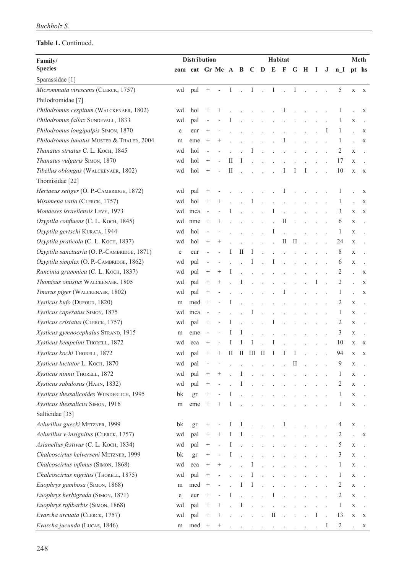| Family/                                     | <b>Distribution</b> |                   |                 |                |   | Habitat<br>Meth |                                  |                |                      |                      |                |     |             |              |                |             |              |
|---------------------------------------------|---------------------|-------------------|-----------------|----------------|---|-----------------|----------------------------------|----------------|----------------------|----------------------|----------------|-----|-------------|--------------|----------------|-------------|--------------|
| <b>Species</b>                              |                     | com cat Gr Mc A B |                 |                |   |                 | $C$ D                            |                | $E$ F                |                      |                | G H | $\mathbf I$ | $\mathbf{J}$ | n <sub>l</sub> |             | pt hs        |
| Sparassidae [1]                             |                     |                   |                 |                |   |                 |                                  |                |                      |                      |                |     |             |              |                |             |              |
| Micrommata virescens (CLERCK, 1757)         | wd                  | pal               | $\! + \!\!\!\!$ |                | I | ÷.              | $\mathbf I$                      | $\mathbf{r}$   | $\rm I$              | ÷.                   | $\mathbf I$    |     |             |              | 5              | $\mathbf X$ | $\mathbf{X}$ |
| Philodromidae <sup>[7]</sup>                |                     |                   |                 |                |   |                 |                                  |                |                      |                      |                |     |             |              |                |             |              |
| Philodromus cespitum (WALCKENAER, 1802)     | wd                  | hol               | $^+$            | $^+$           |   |                 |                                  |                |                      | 1                    |                |     |             |              | 1              |             | X            |
| Philodromus fallax SUNDEVALL, 1833          | wd                  | pal               | ÷               |                |   |                 |                                  |                |                      |                      |                |     |             |              |                | $\mathbf X$ |              |
| Philodromus longipalpis SIMON, 1870         | e                   | eur               | $^{+}$          |                |   |                 |                                  |                |                      |                      |                |     |             | 1            | 1              |             | $\mathbf X$  |
| Philodromus lunatus MUSTER & THALER, 2004   | m                   | eme               | $^{+}$          |                |   |                 |                                  |                |                      | Ι                    |                |     |             |              | 1              |             | $\mathbf X$  |
| Thanatus striatus C. L. KOCH, 1845          | wd                  | hol               |                 |                |   |                 |                                  |                |                      |                      |                |     |             |              | 2              | $\mathbf X$ |              |
| Thanatus vulgaris SIMON, 1870               | wd                  | hol               | $^{+}$          |                | П |                 |                                  |                |                      |                      |                |     |             |              | 17             | X           |              |
| Tibellus oblongus (WALCKENAER, 1802)        | wd                  | hol               | $^{+}$          |                | П |                 |                                  |                |                      | Ι                    | I              | I   |             |              | 10             | X           | $\mathbf X$  |
| Thomisidae [22]                             |                     |                   |                 |                |   |                 |                                  |                |                      |                      |                |     |             |              |                |             |              |
| Heriaeus setiger (O. P.-CAMBRIDGE, 1872)    | wd                  | pal               | $^{+}$          |                |   |                 |                                  |                |                      | Ι                    |                |     |             |              |                |             | X            |
| Misumena vatia (CLERCK, 1757)               | wd                  | hol               | $\! + \!\!\!\!$ | $^{+}$         |   |                 | I                                |                |                      |                      |                |     |             |              | 1              |             | X            |
| Monaeses israeliensis LEVY, 1973            | wd                  | mca               | $\overline{a}$  |                |   |                 |                                  |                |                      |                      |                |     |             |              | 3              | $\mathbf X$ | X            |
| Ozyptila confluens (C. L. KOCH, 1845)       | wd                  | nme               | $^{+}$          | +              |   |                 |                                  | $\overline{a}$ | $\overline{a}$       | П                    |                |     |             |              | 6              | X           |              |
| Ozyptila gertschi KURATA, 1944              | wd                  | hol               | $\overline{a}$  |                |   |                 |                                  |                | I                    |                      |                |     |             |              | 1              | X           |              |
| Ozyptila praticola (C. L. KOCH, 1837)       | wd                  | hol               | $^{+}$          | $^{+}$         |   |                 |                                  |                | $\overline{a}$       | П                    | П              |     |             |              | 24             | X           |              |
| Ozyptila sanctuaria (O. P.-CAMBRIDGE, 1871) | e                   | eur               | $\overline{a}$  |                | 1 | П               | I                                |                |                      |                      |                |     |             |              | 8              | $\mathbf X$ |              |
| Ozyptila simplex (O. P.-CAMBRIDGE, 1862)    | wd                  | pal               | ÷               |                |   |                 | I                                |                |                      |                      |                |     |             |              | 6              | X           |              |
| Runcinia grammica (C. L. KOCH, 1837)        | wd                  | pal               | $^{+}$          | $^{+}$         |   |                 |                                  |                |                      |                      |                |     |             |              | 2              |             | $\mathbf X$  |
| Thomisus onustus WALCKENAER, 1805           | wd                  | pal               | $^+$            | $^{+}$         |   | I               |                                  |                |                      |                      |                |     |             |              | 2              |             | $\mathbf X$  |
| Tmarus piger (WALCKENAER, 1802)             | wd                  | pal               | $^{+}$          |                |   |                 |                                  |                |                      | Ι                    |                |     |             |              | 1              |             | $\mathbf X$  |
| Xysticus bufo (DUFOUR, 1820)                | m                   | med               | $^{+}$          |                | I |                 |                                  |                | $\ddot{\phantom{a}}$ | $\overline{a}$       |                |     |             |              | 2              | X           |              |
| Xysticus caperatus SIMON, 1875              | wd                  | mca               | $\overline{a}$  |                |   |                 | I                                |                |                      |                      |                |     |             |              | 1              | X           |              |
| Xysticus cristatus (CLERCK, 1757)           | wd                  | pal               | $^{+}$          |                |   |                 |                                  |                | 1                    |                      |                |     |             |              | 2              | X           |              |
| Xysticus gymnocephalus STRAND, 1915         | m                   | eme               | $\overline{a}$  |                | 1 | I               |                                  |                |                      |                      |                |     |             |              | 3              | X           |              |
| Xysticus kempelini THORELL, 1872            | wd                  | eca               | $^{+}$          | $\overline{a}$ | 1 | I               | I                                |                | I                    |                      |                |     |             |              | 10             | X           | X            |
| Xysticus kochi THORELL, 1872                | wd                  | pal               | $^+$            | $^{+}$         | П | П               | Ш                                | Ш              | I                    | I                    | I              |     |             |              | 94             | $\mathbf X$ | X            |
| Xysticus luctator L. KOCH, 1870             | wd                  | pal               |                 |                |   |                 |                                  |                |                      |                      | П              |     |             |              | 9              | X           |              |
| Xysticus ninnii THORELL, 1872               | wd                  | pal               | $^{+}$          | $^+$           |   | I               |                                  |                |                      |                      |                |     |             |              | $\mathbf{I}$   | $\mathbf X$ |              |
| Xysticus sabulosus (HAHN, 1832)             | wd                  | pal               | $^{+}$          |                |   |                 |                                  |                |                      |                      |                |     |             |              | 2              | X           |              |
| Xysticus thessalicoides WUNDERLICH, 1995    | bk                  | gr                | $^{+}$          |                | I |                 |                                  |                |                      |                      |                |     |             |              | 1              | X           |              |
| Xysticus thessalicus SIMON, 1916            | m                   | eme               | $^{+}$          | $^+$           | I |                 |                                  |                |                      |                      |                |     |             |              | 1              | X           |              |
| Salticidae [35]                             |                     |                   |                 |                |   |                 |                                  |                |                      |                      |                |     |             |              |                |             |              |
| Aelurillus guecki METZNER, 1999             | bk                  | gr                | $^{+}$          |                | Ι | Ι.              |                                  | $\cdot$        |                      | Ι                    |                |     |             |              | 4              | X           |              |
| Aelurillus v-insignitus (CLERCK, 1757)      | wd                  | pal               | $^{+}$          | $^{+}$         | I | 1               |                                  |                |                      | $\ddot{\phantom{a}}$ |                |     |             |              | 2              |             | X            |
| Asianellus festivus (C. L. KOCH, 1834)      | wd                  | pal               | $^{+}$          |                | I |                 |                                  |                |                      |                      |                |     |             |              | 5              | X           |              |
| Chalcoscirtus helverseni METZNER, 1999      | bk                  | gr                | $^+$            |                | Ι |                 |                                  |                |                      |                      |                |     |             |              | 3              | X           |              |
| Chalcoscirtus infimus (SIMON, 1868)         | wd                  | eca               | $^{+}$          | $^+$           |   |                 | I                                |                |                      |                      |                |     |             |              | 1              | X           |              |
| Chalcoscirtus nigritus (THORELL, 1875)      | wd                  | pal               | $^{+}$          |                |   |                 | I                                |                |                      |                      |                |     |             |              | 1              | X           |              |
| Euophrys gambosa (SIMON, 1868)              | m                   | med               | $^{+}$          |                |   | I               | Ι                                |                |                      |                      |                |     |             |              | 2              | X           |              |
| Euophrys herbigrada (SIMON, 1871)           | e                   | eur               | $^{+}$          |                | I |                 |                                  |                | I                    |                      |                |     |             |              | 2              | X           |              |
| Euophrys rufibarbis (SIMON, 1868)           | wd                  | pal               | $^{+}$          | $^{+}$         |   | I               |                                  |                |                      |                      |                |     |             |              | $\mathbf{1}$   | X           |              |
| Evarcha arcuata (CLERCK, 1757)              | wd                  | pal               | $^{+}$          | $^+$           |   |                 |                                  |                | $\rm II$             | $\ddot{\phantom{a}}$ | $\overline{a}$ |     | I           |              | 13             | X           | X            |
| Evarcha jucunda (LUCAS, 1846)               | m                   | med               | $^+$            | $^+$           |   |                 | and the contract of the state of |                |                      |                      |                |     |             | 1            | $\overline{2}$ |             | X            |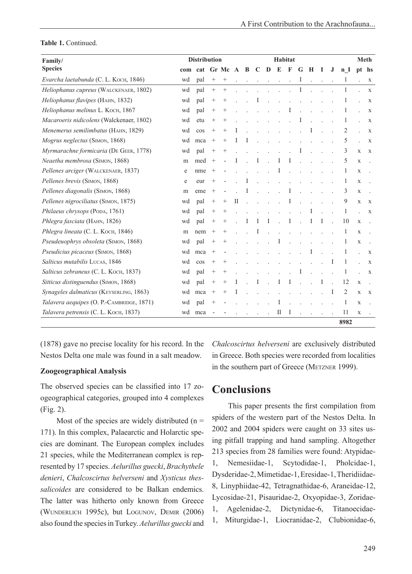| Family/                                   | <b>Distribution</b> |     |                   | <b>Meth</b> |              |   |             |                |             |               |                      |                      |          |   |      |             |              |
|-------------------------------------------|---------------------|-----|-------------------|-------------|--------------|---|-------------|----------------|-------------|---------------|----------------------|----------------------|----------|---|------|-------------|--------------|
| <b>Species</b>                            | com                 | cat |                   | Gr Mc       | $\mathbf{A}$ | B | $\mathbf C$ | D              | $\mathbf E$ | F             | G                    | Н                    | -1       | J | n I  |             | pt hs        |
| Evarcha laetabunda (C. L. KOCH, 1846)     | wd                  | pal | $\qquad \qquad +$ | $^{+}$      |              |   | $\sim$      | $\sim$ .       | $\sim$      | $\mathcal{L}$ | $\bf{I}$             | $\ddot{\phantom{a}}$ | $\sim$ . |   | 1    |             | X            |
| Heliophanus cupreus (WALCKENAER, 1802)    | wd                  | pal | $\! + \!\!\!\!$   |             |              |   |             |                |             |               | Ι                    |                      |          |   | 1    |             | $\mathbf X$  |
| Heliophanus flavipes (HAHN, 1832)         | wd                  | pal | $^{+}$            | $^+$        |              |   |             |                |             |               |                      |                      |          |   |      |             | X            |
| Heliophanus melinus L. Koch, 1867         | wd                  | pal |                   | $^{+}$      |              |   |             |                |             |               |                      |                      |          |   | 1    |             | X            |
| Macaroeris nidicolens (Walckenaer, 1802)  | wd                  | etu | $^{+}$            | $^+$        |              |   |             |                |             |               |                      |                      |          |   | 1    |             | X            |
| Menemerus semilimbatus (HAHN, 1829)       | wd                  | cos | $^{+}$            | $^{+}$      |              |   |             |                |             |               |                      |                      |          |   | 2    |             | X            |
| Mogrus neglectus (SIMON, 1868)            | wd                  | mca | $^{+}$            | $^{+}$      | Ι            |   |             |                |             |               |                      |                      |          |   | 5    |             | X            |
| Myrmarachne formicaria (DE GEER, 1778)    | wd                  | pal | $^{+}$            | $^{+}$      |              |   |             |                |             |               |                      |                      |          |   | 3    | X           | X            |
| Neaetha membrosa (SIMON, 1868)            | m                   | med |                   |             |              |   | Ι           | $\overline{a}$ | Ι           | -1            |                      |                      |          |   | 5    | $\mathbf X$ |              |
| Pellenes arciger (WALCKENAER, 1837)       | e                   | nme | $^{+}$            |             |              |   |             |                | L           |               |                      |                      |          |   | 1    | $\mathbf X$ |              |
| Pellenes brevis (SIMON, 1868)             | e                   | eur | $^+$              |             |              |   |             |                |             |               |                      |                      |          |   | 1    | $\mathbf X$ |              |
| Pellenes diagonalis (SIMON, 1868)         | m                   | eme | $^{+}$            |             |              |   |             |                |             | I             |                      |                      |          |   | 3    | $\mathbf X$ |              |
| Pellenes nigrociliatus (SIMON, 1875)      | wd                  | pal | $^{+}$            | $^+$        | П            |   |             |                |             |               |                      |                      |          |   | 9    | X           | $\mathbf{X}$ |
| Philaeus chrysops (PODA, 1761)            | wd                  | pal | $^{+}$            | $^+$        |              |   |             |                |             |               |                      |                      |          |   | 1    |             | X            |
| Phlegra fasciata (HAHN, 1826)             | wd                  | pal |                   | $^{+}$      |              | I | I           | I              |             |               |                      | I                    | I        |   | 10   | $\mathbf X$ |              |
| Phlegra lineata (C. L. Koch, 1846)        | m                   | nem | $^{+}$            | $^{+}$      |              |   |             |                |             |               |                      |                      |          |   | 1    | X           |              |
| Pseudeuophrys obsoleta (SIMON, 1868)      | wd                  | pal | $^{+}$            | $^+$        |              |   |             |                | Ι           |               |                      |                      |          |   | 1    | $\mathbf X$ |              |
| Pseudicius picaceus (SIMON, 1868)         | wd                  | mca | $^{+}$            |             |              |   |             |                |             |               |                      |                      |          |   | 1    |             | X            |
| Salticus mutabilis LUCAS, 1846            | wd                  | cos | $^{+}$            | $^{+}$      |              |   |             |                |             |               |                      |                      |          |   | 1    |             | X            |
| Salticus zebraneus (C. L. KOCH, 1837)     | wd                  | pal | $\! + \!\!\!\!$   | $^{+}$      |              |   |             |                |             |               |                      |                      |          |   | 1    |             | X            |
| Sitticus distinguendus (SIMON, 1868)      | wd                  | pal | $\qquad \qquad +$ | $^+$        |              |   |             |                |             | $\perp$       |                      |                      |          |   | 12   | X           |              |
| Synageles dalmaticus (KEYSERLING, 1863)   | wd                  | mca | $^{+}$            | $^+$        | T            |   |             |                |             |               |                      |                      |          |   | 2    | $\mathbf X$ | $\mathbf{X}$ |
| Talavera aequipes (O. P.-CAMBRIDGE, 1871) | wd                  | pal | $^{+}$            |             |              |   |             |                |             |               |                      |                      |          |   | 1    | $\mathbf X$ |              |
| Talavera petrensis (C. L. KOCH, 1837)     | wd                  | mca |                   |             |              |   |             | $\overline{a}$ | П           | $\perp$       | $\ddot{\phantom{a}}$ | $\ddot{\phantom{a}}$ |          |   | 11   | $\mathbf X$ |              |
|                                           |                     |     |                   |             |              |   |             |                |             |               |                      |                      |          |   | 8982 |             |              |

(1878) gave no precise locality for his record. In the Nestos Delta one male was found in a salt meadow.

### **Zoogeographical Analysis**

The observed species can be classified into 17 zoogeographical categories, grouped into 4 complexes (Fig. 2).

Most of the species are widely distributed  $(n =$ 171). In this complex, Palaearctic and Holarctic species are dominant. The European complex includes 21 species, while the Mediterranean complex is represented by 17 species. *Aelurillus guecki*, *Brachythele denieri*, *Chalcoscirtus helverseni* and *Xysticus thessalicoides* are considered to be Balkan endemics. The latter was hitherto only known from Greece (Wunderlich 1995c), but Logunov, Demir (2006) also found the species in Turkey. *Aelurillus guecki* and

*Chalcoscirtus helverseni* are exclusively distributed in Greece. Both species were recorded from localities in the southern part of Greece (METZNER 1999).

# **Conclusions**

This paper presents the first compilation from spiders of the western part of the Nestos Delta. In 2002 and 2004 spiders were caught on 33 sites using pitfall trapping and hand sampling. Altogether 213 species from 28 families were found: Atypidae-1, Nemesiidae-1, Scytodidae-1, Pholcidae-1, Dysderidae-2, Mimetidae-1, Eresidae-1, Theridiidae-8, Linyphiidae-42, Tetragnathidae-6, Araneidae-12, Lycosidae-21, Pisauridae-2, Oxyopidae-3, Zoridae-1, Agelenidae-2, Dictynidae-6, Titanoecidae-1, Miturgidae-1, Liocranidae-2, Clubionidae-6,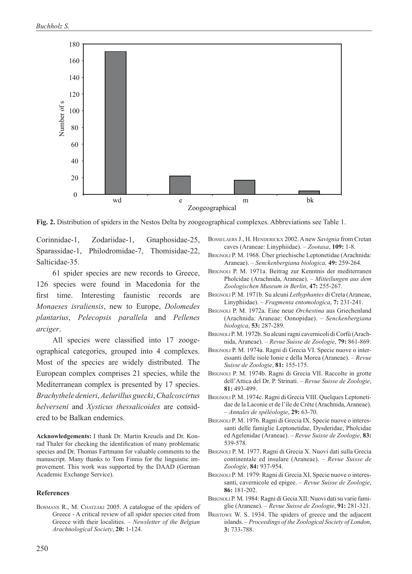

**Fig. 2.** Distribution of spiders in the Nestos Delta by zoogeographical complexes. Abbreviations see Table 1.

Corinnidae-1, Zodariidae-1, Gnaphosidae-25, Sparassidae-1, Philodromidae-7, Thomisidae-22, Salticidae-35.

61 spider species are new records to Greece, 126 species were found in Macedonia for the first time. Interesting faunistic records are *Monaeses israliensis*, new to Europe, *Dolomedes plantarius*, *Pelecopsis parallela* and *Pellenes arciger*.

All species were classified into 17 zoogeographical categories, grouped into 4 complexes. Most of the species are widely distributed. The European complex comprises 21 species, while the Mediterranean complex is presented by 17 species. *Brachythele denieri*, *Aelurillus guecki*, *Chalcoscirtus helverseni* and *Xysticus thessalicoides* are considered to be Balkan endemics.

**Acknowledgements:** I thank Dr. Martin Kreuels and Dr. Konrad Thaler for checking the identification of many problematic species and Dr. Thomas Fartmann for valuable comments to the manuscript. Many thanks to Tom Finnis for the linguistic improvement. This work was supported by the DAAD (German Academic Exchange Service).

#### **References**

BOSMANS R., M. CHATZAKI 2005. A catalogue of the spiders of Greece - A critical review of all spider species cited from Greece with their localities. – *Newsletter of the Belgian Arachnological Society*, **20:** 1-124.

- Bosselaers J., H. Henderickx 2002. A new *Savignia* from Cretan caves (Araneae: Linyphiidae). – *Zootaxa*, **109:** 1-8.
- Brignoli P. M. 1968. Über griechische Leptonetidae (Arachnida: Araneae). – *Senckenbergiana biologica,* **49:** 259-264.
- Brignoli P. M. 1971a. Beitrag zur Kenntnis der mediterranen Pholcidae (Arachnida, Araneae). – *Mitteilungen aus dem Zoologischen Museum in Berlin*, **47:** 255-267.
- Brignoli P. M. 1971b. Su alcuni *Lethyphantes* di Creta (Araneae, Linyphiidae). – *Fragmenta entomologica*, **7:** 231-241.
- Brignoli P. M. 1972a. Eine neue *Orchestina* aus Griechenland (Arachnida: Araneae: Oonopidae). – *Senckenbergiana biologica*, **53:** 287-289.
- Brignoli P. M. 1972b. Su alcuni ragni cavernicoli di Corfù (Arachnida, Araneae). – *Revue Suisse de Zoologie*, **79:** 861-869.
- Brignoli P. M. 1974a. Ragni di Grecia VI. Specie nuove o interessanti delle isole Ionie e della Morea (Araneae). – *Revue Suisse de Zoologie*, **81:** 155-175.
- Brignoli P. M. 1974b. Ragni di Grecia VII. Raccolte in grotte dell'Attica del Dr. P. Strinati. – *Revue Suisse de Zoologie*, **81:** 493-499.
- Brignoli P. M. 1974c. Ragni di Grecia VIII. Quelques Leptonetidae de la Laconie et de l'ile de Crète (Arachnida, Araneae). – *Annales de spéléologie*, **29:** 63-70.
- BRIGNOLI P. M. 1976. Ragni di Grecia IX. Specie nuove o interessanti delle famiglie Leptonetidae, Dysderidae, Pholcidae ed Agelenidae (Araneae). – *Revue Suisse de Zoologie*, **83:** 539-578.
- Brignoli P. M. 1977. Ragni di Grecia X. Nuovi dati sulla Grecia continentale ed insulare (Araneae). – *Revue Suisse de Zoologie*, **84:** 937-954.
- Brignoli P. M. 1979: Ragni di Grecia XI. Specie nuove o interessanti, cavernicole ed epigee. – *Revue Suisse de Zoologie*, **86:** 181-202.
- Brignoli P. M. 1984: Ragni di Gecia XII: Nuovi dati su varie famiglie (Araneae). – *Revue Suisse de Zoologie*, **91:** 281-321.
- Bristowe W. S. 1934. The spiders of greece and the adjacent islands. – *Proceedings of the Zoological Society of London*, **3:** 733-788.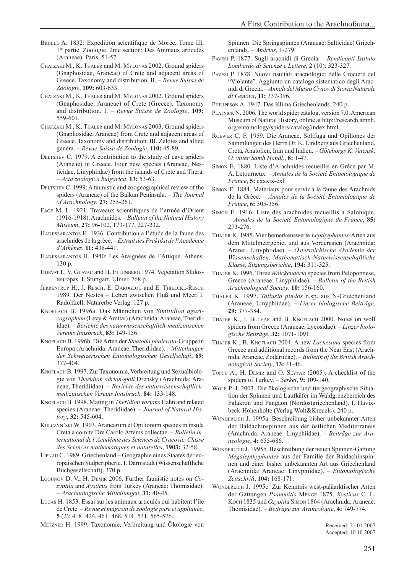- Chatzaki M., K. Thaler and M. Mylonas 2002. Ground spiders (Gnaphosidae, Araneae) of Crete and adjacent areas of Greece. Taxonomy and distribution. II. – *Revue Suisse de Zoologie*, **109:** 603-633.
- Chatzaki M., K. Thaler and M. Mylonas 2002. Ground spiders (Gnaphosidae; Araneae) of Crete (Greece). Taxonomy and distribution. I. – *Revue Suisse de Zoologie*, **109:** 559-601.
- Chatzaki M., K. Thaler and M. Mylonas 2003. Ground spiders (Gnaphosidae; Araneae) from Crete and adjacent areas of Greece. Taxonomy and distribution. III. Zelotes and allied genera. – *Revue Suisse de Zoologie*, **110:** 45-89.
- DELTSHEV C. 1979. A contribution to the study of cave spiders (Araneae) in Greece. Four new species (Araneae, Nesticidae, Linyphiidae) from the islands of Crete and Thera. – *Acta zoologica bulgarica*, **13:** 53-63.
- DELTSHEV C. 1999: A faunistic and zoogeographical review of the spiders (Araneae) of the Balkan Peninsula. – *The Journal of Arachnology*, **27:** 255-261.
- Fage M. L. 1921. Traveaux scientifiques de l'armée d'Orient (1916-1918). Arachnides. – *Bulletin of the Natural History Museum*, **27:** 96-102, 173-177, 227-232.
- HADJISSARANTOS H. 1936. Contribution a l'étude de la faune des arachnides de la grèce. – *Extrait des Praktika de l'Académie d'Athènes*, **11:** 438-441.
- HADJISSARANTOS H. 1940: Les Araignées de l'Attique. Athens. 130 p.
- HORVAT I., V. GLAVAC and H. ELLENBERG 1974. Vegetation Südosteuropas. I. Stuttgart, Ulmer. 768 p.
- Jerrentrup H., J. Resch, E. Daroglou and E. Thielcke-Resch 1989. Der Nestos – Leben zwischen Fluß und Meer. I. Radolfzell, Naturerbe Verlag. 127 p.
- Knoflach B. 1996a. Das Männchen von *Simitidion agaricographum* (Levy & Amitai) (Arachnida: Araneae, Theridiidae). – *Berichte des naturwissenschaftlich-medizinischen Vereins Innsbruck*, **83:** 149-156.
- Knoflach B. 1996b. Die Arten der *Steatoda phalerata*-Gruppe in Europa (Arachnida: Araneae, Theridiidae). – *Mitteilungen der Schweizerischen Entomologischen Gesellschaft*, **69:** 377-404.
- KNOFLACH B. 1997. Zur Taxonomie, Verbreitung und Sexualbiologie von *Theridion adrianopoli* Drensky (Arachnida: Araneae, Theridiidae). – *Berichte des naturwissenschaftlichmedizinischen Vereins Innsbruck*, **84:** 133-148.
- Knoflach B. 1998. Mating in *Theridion varians* Hahn and related species (Araneae: Theridiidae). – *Journal of Natural History*, **32:** 545-604.
- Kulczyn'ski W. 1903. Aranearum et Opilionum species in insula Creta a comite Dre Carolo Attems collectae. – *Bulletin international de l'Académie des Sciences de Cracovie, Classe des Sciences mathématiques et naturelles*, **1903:** 32-58.
- Lienau C. 1989. Griechenland Geographie eines Staates der europäischen Südperipherie. I. Darmstadt (Wissenschaftliche Buchgesellschaft). 370 p.
- Logunov D. V., H. Demir 2006. Further faunistic notes on *Cozyptila* and *Xysticus* from Turkey (Araneae: Thomisidae). – *Arachnologische Mitteilungen*, **31:** 40-45.
- Lucas H. 1853. Essai sur les animaux articulés qui habitent l'ile de Crete. – *Revue et magasin de zoologie pure et appliquée*, **5** (2): 418−424, 461−468, 514−531, 565-576.
- Metzner H. 1999. Taxonomie, Verbreitung und Ökologie von

Spinnen: Die Springspinnen (Araneae: Salticidae) Griechenlands. – *Andrias,* 1-279.

- Pavesi P. 1877. Sugli aracnidi di Grecia. *Rendiconti Istituto Lombardo di Scienze e Lettere*, **2** (10): 323-327.
- Pavesi P. 1878. Nuovi risultati aracnologici delle Crociere del "Violante". Aggiunto un catalogo sistematico degli Aracnidi di Grecia. – *Annali del Museo Civico di Storia Naturale di Genova*, **11:** 337-396.
- PHILIPPSON A. 1947. Das Klima Griechenlands. 240 p.
- PLATNICK N. 2006. The world spider catalog, version 7.0. American Museum of Natural History, online at http://research.amnh. org/entomology/spiders/catalog/index.html.
- Roewer C. F. 1959. Die Araneae, Solifuga und Opiliones der Sammlungen des Herrn Dr. K. Lindberg aus Griechenland, Creta, Anatolien, Iran und Indien. – *Göteborgs K. Vetensk. O. vitter Samh Handl*., **8:** 1-47.
- Simon E. 1880. Liste d'Arachnides recueillis en Grèce par M. A. Letourneux. – *Annales de la Société Entomologique de France*, **5:** cxxxix-cxl.
- Simon E. 1884. Matériaux pour servir à la faune des Arachnids de la Grèce. – *Annales de la Société Entomologique de France*, **6:** 305-356.
- Simon E. 1916. Liste des arachnides recueillis a Salonique. – *Annales de la Société Entomologique de France*, **85:** 273-276.
- Thaler K. 1985. Vier bemerkenswerte *Lepthyphantes*-Arten aus dem Mittelmeergebiet und aus Vorderasien (Arachnida: Aranei, Linyphiidae). – *Österreichische Akademie der Wissenschaften, Mathematisch*-*Naturwissenschaftliche Klasse, Sitzungsberichte*, **194:** 311-325.
- Thaler K. 1996. Three *Walckenaeria* species from Peloponnese, Greece (Araneae: Linyphiidae). – *Bulletin of the British Arachnological Society*, **10:** 156-160.
- Thaler K. 1997. *Tallusia pindos* n.sp. aus N-Griechenland (Araneae, Linyphiidae). – *Linzer biologische Beiträge*, **29:** 377-384.
- THALER K., J. BUCHAR and B. KNOFLACH 2000. Notes on wolf spiders from Greece (Araneae, Lycosidae). – *Linzer biologische Beiträge*, **32:** 1071-1091.
- Thaler K., B. Knoflach 2004. A new *Lachesana* species from Greece and additional records from the Near East (Arachnida, Araneae, Zodariidae). – *Bulletin of the British Arachnological Society*, **13:** 41-46.
- Topcu A., H. Demir and O. Seyyar (2005). A checklist of the spiders of Turkey. – *Serket*, **9:** 109-140.
- Wolf P.-J. 2003. Die ökologische und tiergeographische Situation der Spinnen und Laufkäfer im Waldgrenzbereich des Falakron und Pangäon (Nordostgriechenland). I. Havixbeck-Hohenholte (Verlag Wolf&Kreuels). 240 p.
- WUNDERLICH J. 1995a. Beschreibung bisher unbekannter Arten der Baldachinspinnen aus der östlichen Mediterraneis (Arachnida: Araneae: Linyphiidae). – *Beiträge zur Araneologie*, **4:** 655-686.
- WUNDERLICH J. 1995b. Beschreibung der neuen Spinnen-Gattung *Megalepthyphantes* aus der Familie der Baldachinspinnen und einer bisher unbekannten Art aus Griechenland (Arachnida: Araneae: Linyphiidae). – *Entomologische Zeitschrift*, **104:** 168-171.
- Wunderlich J. 1995c. Zur Kenntnis west-paläarktischer Arten der Gattungen *Psammitis* Menge 1875, *Xysticus* C. L. Koch 1835 und *Ozyptila* Simon 1864 (Arachnida: Araneae: Thomisidae). – *Beiträge zur Araneologie*, **4:** 749-774.

Received: 21.01.2007 Accepted: 10.10.2007